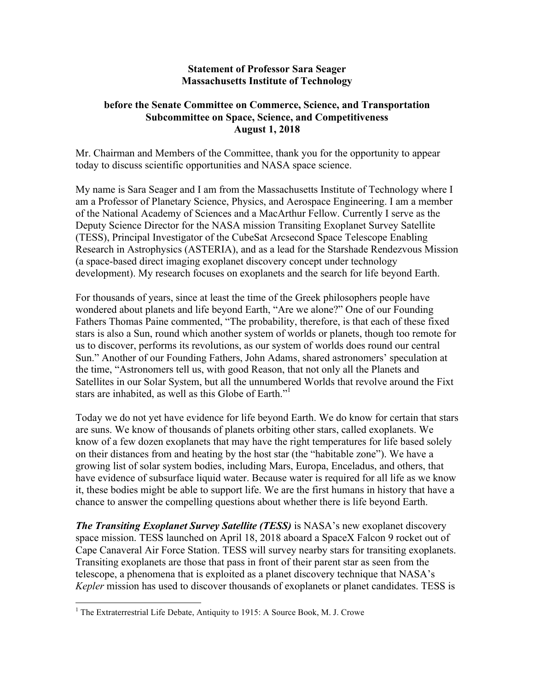## **Statement of Professor Sara Seager Massachusetts Institute of Technology**

## **before the Senate Committee on Commerce, Science, and Transportation Subcommittee on Space, Science, and Competitiveness August 1, 2018**

Mr. Chairman and Members of the Committee, thank you for the opportunity to appear today to discuss scientific opportunities and NASA space science.

My name is Sara Seager and I am from the Massachusetts Institute of Technology where I am a Professor of Planetary Science, Physics, and Aerospace Engineering. I am a member of the National Academy of Sciences and a MacArthur Fellow. Currently I serve as the Deputy Science Director for the NASA mission Transiting Exoplanet Survey Satellite (TESS), Principal Investigator of the CubeSat Arcsecond Space Telescope Enabling Research in Astrophysics (ASTERIA), and as a lead for the Starshade Rendezvous Mission (a space-based direct imaging exoplanet discovery concept under technology development). My research focuses on exoplanets and the search for life beyond Earth.

For thousands of years, since at least the time of the Greek philosophers people have wondered about planets and life beyond Earth, "Are we alone?" One of our Founding Fathers Thomas Paine commented, "The probability, therefore, is that each of these fixed stars is also a Sun, round which another system of worlds or planets, though too remote for us to discover, performs its revolutions, as our system of worlds does round our central Sun." Another of our Founding Fathers, John Adams, shared astronomers' speculation at the time, "Astronomers tell us, with good Reason, that not only all the Planets and Satellites in our Solar System, but all the unnumbered Worlds that revolve around the Fixt stars are inhabited, as well as this Globe of Earth."<sup>1</sup>

Today we do not yet have evidence for life beyond Earth. We do know for certain that stars are suns. We know of thousands of planets orbiting other stars, called exoplanets. We know of a few dozen exoplanets that may have the right temperatures for life based solely on their distances from and heating by the host star (the "habitable zone"). We have a growing list of solar system bodies, including Mars, Europa, Enceladus, and others, that have evidence of subsurface liquid water. Because water is required for all life as we know it, these bodies might be able to support life. We are the first humans in history that have a chance to answer the compelling questions about whether there is life beyond Earth.

*The Transiting Exoplanet Survey Satellite (TESS)* is NASA's new exoplanet discovery space mission. TESS launched on April 18, 2018 aboard a SpaceX Falcon 9 rocket out of Cape Canaveral Air Force Station. TESS will survey nearby stars for transiting exoplanets. Transiting exoplanets are those that pass in front of their parent star as seen from the telescope, a phenomena that is exploited as a planet discovery technique that NASA's *Kepler* mission has used to discover thousands of exoplanets or planet candidates. TESS is

<sup>&</sup>lt;sup>1</sup> The Extraterrestrial Life Debate, Antiquity to 1915: A Source Book, M. J. Crowe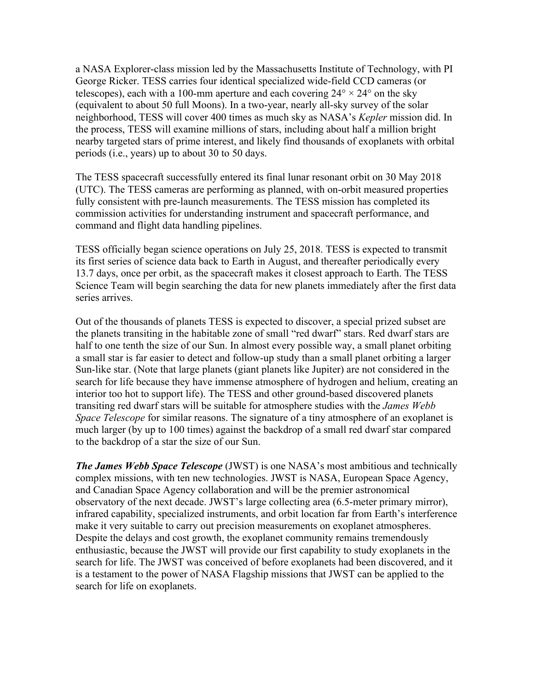a NASA Explorer-class mission led by the Massachusetts Institute of Technology, with PI George Ricker. TESS carries four identical specialized wide-field CCD cameras (or telescopes), each with a 100-mm aperture and each covering  $24^{\circ} \times 24^{\circ}$  on the sky (equivalent to about 50 full Moons). In a two-year, nearly all-sky survey of the solar neighborhood, TESS will cover 400 times as much sky as NASA's *Kepler* mission did. In the process, TESS will examine millions of stars, including about half a million bright nearby targeted stars of prime interest, and likely find thousands of exoplanets with orbital periods (i.e., years) up to about 30 to 50 days.

The TESS spacecraft successfully entered its final lunar resonant orbit on 30 May 2018 (UTC). The TESS cameras are performing as planned, with on-orbit measured properties fully consistent with pre-launch measurements. The TESS mission has completed its commission activities for understanding instrument and spacecraft performance, and command and flight data handling pipelines.

TESS officially began science operations on July 25, 2018. TESS is expected to transmit its first series of science data back to Earth in August, and thereafter periodically every 13.7 days, once per orbit, as the spacecraft makes it closest approach to Earth. The TESS Science Team will begin searching the data for new planets immediately after the first data series arrives.

Out of the thousands of planets TESS is expected to discover, a special prized subset are the planets transiting in the habitable zone of small "red dwarf" stars. Red dwarf stars are half to one tenth the size of our Sun. In almost every possible way, a small planet orbiting a small star is far easier to detect and follow-up study than a small planet orbiting a larger Sun-like star. (Note that large planets (giant planets like Jupiter) are not considered in the search for life because they have immense atmosphere of hydrogen and helium, creating an interior too hot to support life). The TESS and other ground-based discovered planets transiting red dwarf stars will be suitable for atmosphere studies with the *James Webb Space Telescope* for similar reasons. The signature of a tiny atmosphere of an exoplanet is much larger (by up to 100 times) against the backdrop of a small red dwarf star compared to the backdrop of a star the size of our Sun.

*The James Webb Space Telescope* (JWST) is one NASA's most ambitious and technically complex missions, with ten new technologies. JWST is NASA, European Space Agency, and Canadian Space Agency collaboration and will be the premier astronomical observatory of the next decade. JWST's large collecting area (6.5-meter primary mirror), infrared capability, specialized instruments, and orbit location far from Earth's interference make it very suitable to carry out precision measurements on exoplanet atmospheres. Despite the delays and cost growth, the exoplanet community remains tremendously enthusiastic, because the JWST will provide our first capability to study exoplanets in the search for life. The JWST was conceived of before exoplanets had been discovered, and it is a testament to the power of NASA Flagship missions that JWST can be applied to the search for life on exoplanets.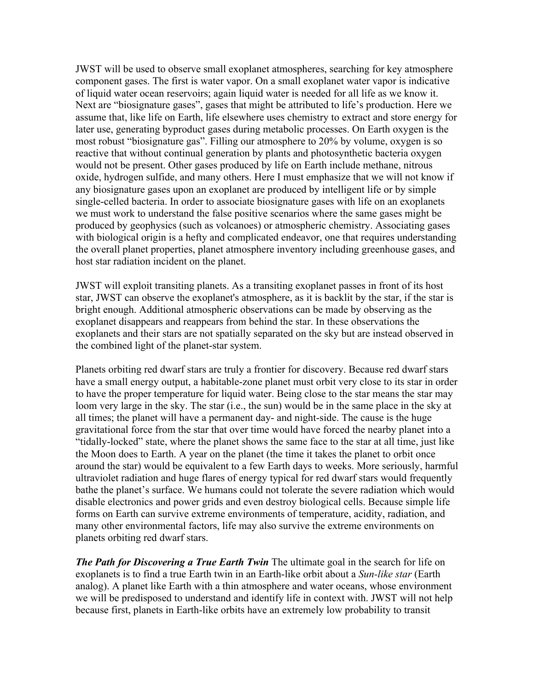JWST will be used to observe small exoplanet atmospheres, searching for key atmosphere component gases. The first is water vapor. On a small exoplanet water vapor is indicative of liquid water ocean reservoirs; again liquid water is needed for all life as we know it. Next are "biosignature gases", gases that might be attributed to life's production. Here we assume that, like life on Earth, life elsewhere uses chemistry to extract and store energy for later use, generating byproduct gases during metabolic processes. On Earth oxygen is the most robust "biosignature gas". Filling our atmosphere to 20% by volume, oxygen is so reactive that without continual generation by plants and photosynthetic bacteria oxygen would not be present. Other gases produced by life on Earth include methane, nitrous oxide, hydrogen sulfide, and many others. Here I must emphasize that we will not know if any biosignature gases upon an exoplanet are produced by intelligent life or by simple single-celled bacteria. In order to associate biosignature gases with life on an exoplanets we must work to understand the false positive scenarios where the same gases might be produced by geophysics (such as volcanoes) or atmospheric chemistry. Associating gases with biological origin is a hefty and complicated endeavor, one that requires understanding the overall planet properties, planet atmosphere inventory including greenhouse gases, and host star radiation incident on the planet.

JWST will exploit transiting planets. As a transiting exoplanet passes in front of its host star, JWST can observe the exoplanet's atmosphere, as it is backlit by the star, if the star is bright enough. Additional atmospheric observations can be made by observing as the exoplanet disappears and reappears from behind the star. In these observations the exoplanets and their stars are not spatially separated on the sky but are instead observed in the combined light of the planet-star system.

Planets orbiting red dwarf stars are truly a frontier for discovery. Because red dwarf stars have a small energy output, a habitable-zone planet must orbit very close to its star in order to have the proper temperature for liquid water. Being close to the star means the star may loom very large in the sky. The star (i.e., the sun) would be in the same place in the sky at all times; the planet will have a permanent day- and night-side. The cause is the huge gravitational force from the star that over time would have forced the nearby planet into a "tidally-locked" state, where the planet shows the same face to the star at all time, just like the Moon does to Earth. A year on the planet (the time it takes the planet to orbit once around the star) would be equivalent to a few Earth days to weeks. More seriously, harmful ultraviolet radiation and huge flares of energy typical for red dwarf stars would frequently bathe the planet's surface. We humans could not tolerate the severe radiation which would disable electronics and power grids and even destroy biological cells. Because simple life forms on Earth can survive extreme environments of temperature, acidity, radiation, and many other environmental factors, life may also survive the extreme environments on planets orbiting red dwarf stars.

*The Path for Discovering a True Earth Twin* The ultimate goal in the search for life on exoplanets is to find a true Earth twin in an Earth-like orbit about a *Sun-like star* (Earth analog). A planet like Earth with a thin atmosphere and water oceans, whose environment we will be predisposed to understand and identify life in context with. JWST will not help because first, planets in Earth-like orbits have an extremely low probability to transit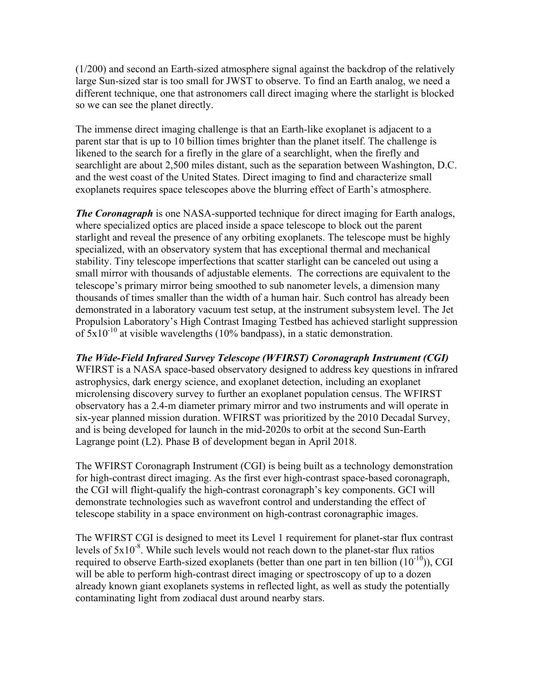(1/200) and second an Earth-sized atmosphere signal against the backdrop of the relatively large Sun-sized star is too small for JWST to observe. To find an Earth analog, we need a different technique, one that astronomers call direct imaging where the starlight is blocked so we can see the planet directly.

The immense direct imaging challenge is that an Earth-like exoplanet is adjacent to a parent star that is up to 10 billion times brighter than the planet itself. The challenge is likened to the search for a firefly in the glare of a searchlight, when the firefly and searchlight are about 2,500 miles distant, such as the separation between Washington, D.C. and the west coast of the United States. Direct imaging to find and characterize small exoplanets requires space telescopes above the blurring effect of Earth's atmosphere.

*The Coronagraph* is one NASA-supported technique for direct imaging for Earth analogs, where specialized optics are placed inside a space telescope to block out the parent starlight and reveal the presence of any orbiting exoplanets. The telescope must be highly specialized, with an observatory system that has exceptional thermal and mechanical stability. Tiny telescope imperfections that scatter starlight can be canceled out using a small mirror with thousands of adjustable elements. The corrections are equivalent to the telescope's primary mirror being smoothed to sub nanometer levels, a dimension many thousands of times smaller than the width of a human hair. Such control has already been demonstrated in a laboratory vacuum test setup, at the instrument subsystem level. The Jet Propulsion Laboratory's High Contrast Imaging Testbed has achieved starlight suppression of  $5x10^{-10}$  at visible wavelengths (10% bandpass), in a static demonstration.

*The Wide-Field Infrared Survey Telescope (WFIRST) Coronagraph Instrument (CGI)* WFIRST is a NASA space-based observatory designed to address key questions in infrared astrophysics, dark energy science, and exoplanet detection, including an exoplanet microlensing discovery survey to further an exoplanet population census. The WFIRST observatory has a 2.4-m diameter primary mirror and two instruments and will operate in six-year planned mission duration. WFIRST was prioritized by the 2010 Decadal Survey, and is being developed for launch in the mid-2020s to orbit at the second Sun-Earth Lagrange point (L2). Phase B of development began in April 2018.

The WFIRST Coronagraph Instrument (CGI) is being built as a technology demonstration for high-contrast direct imaging. As the first ever high-contrast space-based coronagraph, the CGI will flight-qualify the high-contrast coronagraph's key components. GCI will demonstrate technologies such as wavefront control and understanding the effect of telescope stability in a space environment on high-contrast coronagraphic images.

The WFIRST CGI is designed to meet its Level 1 requirement for planet-star flux contrast levels of  $5x10^{-8}$ . While such levels would not reach down to the planet-star flux ratios required to observe Earth-sized exoplanets (better than one part in ten billion  $(10^{-10})$ ), CGI will be able to perform high-contrast direct imaging or spectroscopy of up to a dozen already known giant exoplanets systems in reflected light, as well as study the potentially contaminating light from zodiacal dust around nearby stars.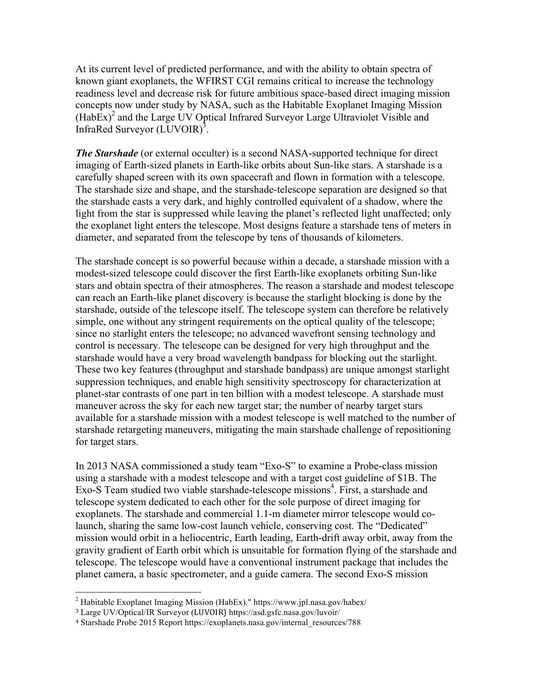At its current level of predicted performance, and with the ability to obtain spectra of known giant exoplanets, the WFIRST CGI remains critical to increase the technology readiness level and decrease risk for future ambitious space-based direct imaging mission concepts now under study by NASA, such as the Habitable Exoplanet Imaging Mission  $(HabEx)^2$  and the Large UV Optical Infrared Surveyor Large Ultraviolet Visible and InfraRed Surveyor (LUVOIR)<sup>3</sup>.

*The Starshade* (or external occulter) is a second NASA-supported technique for direct imaging of Earth-sized planets in Earth-like orbits about Sun-like stars. A starshade is a carefully shaped screen with its own spacecraft and flown in formation with a telescope. The starshade size and shape, and the starshade-telescope separation are designed so that the starshade casts a very dark, and highly controlled equivalent of a shadow, where the light from the star is suppressed while leaving the planet's reflected light unaffected; only the exoplanet light enters the telescope. Most designs feature a starshade tens of meters in diameter, and separated from the telescope by tens of thousands of kilometers.

The starshade concept is so powerful because within a decade, a starshade mission with a modest-sized telescope could discover the first Earth-like exoplanets orbiting Sun-like stars and obtain spectra of their atmospheres. The reason a starshade and modest telescope can reach an Earth-like planet discovery is because the starlight blocking is done by the starshade, outside of the telescope itself. The telescope system can therefore be relatively simple, one without any stringent requirements on the optical quality of the telescope; since no starlight enters the telescope; no advanced wavefront sensing technology and control is necessary. The telescope can be designed for very high throughput and the starshade would have a very broad wavelength bandpass for blocking out the starlight. These two key features (throughput and starshade bandpass) are unique amongst starlight suppression techniques, and enable high sensitivity spectroscopy for characterization at planet-star contrasts of one part in ten billion with a modest telescope. A starshade must maneuver across the sky for each new target star; the number of nearby target stars available for a starshade mission with a modest telescope is well matched to the number of starshade retargeting maneuvers, mitigating the main starshade challenge of repositioning for target stars.

In 2013 NASA commissioned a study team "Exo-S" to examine a Probe-class mission using a starshade with a modest telescope and with a target cost guideline of \$1B. The Exo-S Team studied two viable starshade-telescope missions<sup>4</sup>. First, a starshade and telescope system dedicated to each other for the sole purpose of direct imaging for exoplanets. The starshade and commercial 1.1-m diameter mirror telescope would colaunch, sharing the same low-cost launch vehicle, conserving cost. The "Dedicated" mission would orbit in a heliocentric, Earth leading, Earth-drift away orbit, away from the gravity gradient of Earth orbit which is unsuitable for formation flying of the starshade and telescope. The telescope would have a conventional instrument package that includes the planet camera, a basic spectrometer, and a guide camera. The second Exo-S mission

<sup>&</sup>lt;sup>2</sup> Habitable Exoplanet Imaging Mission (HabEx)." https://www.jpl.nasa.gov/habex/

<sup>&</sup>lt;sup>3</sup> Large UV/Optical/IR Surveyor (LUVOIR) https://asd.gsfc.nasa.gov/luvoir/

<sup>4</sup> Starshade Probe 2015 Report https://exoplanets.nasa.gov/internal\_resources/788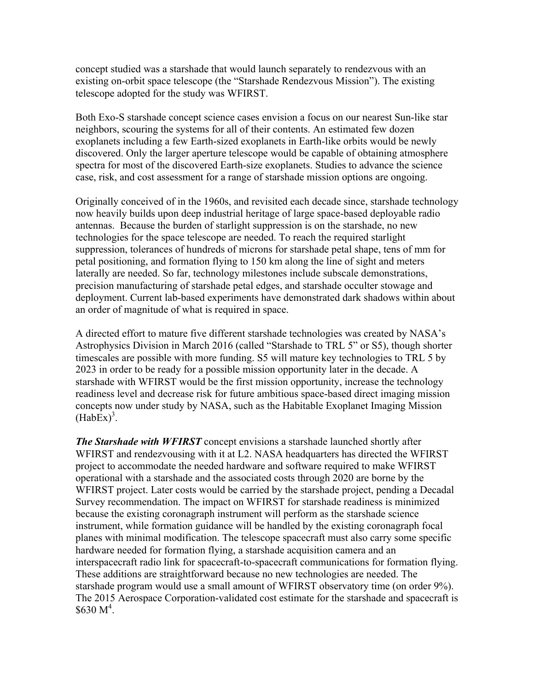concept studied was a starshade that would launch separately to rendezvous with an existing on-orbit space telescope (the "Starshade Rendezvous Mission"). The existing telescope adopted for the study was WFIRST.

Both Exo-S starshade concept science cases envision a focus on our nearest Sun-like star neighbors, scouring the systems for all of their contents. An estimated few dozen exoplanets including a few Earth-sized exoplanets in Earth-like orbits would be newly discovered. Only the larger aperture telescope would be capable of obtaining atmosphere spectra for most of the discovered Earth-size exoplanets. Studies to advance the science case, risk, and cost assessment for a range of starshade mission options are ongoing.

Originally conceived of in the 1960s, and revisited each decade since, starshade technology now heavily builds upon deep industrial heritage of large space-based deployable radio antennas. Because the burden of starlight suppression is on the starshade, no new technologies for the space telescope are needed. To reach the required starlight suppression, tolerances of hundreds of microns for starshade petal shape, tens of mm for petal positioning, and formation flying to 150 km along the line of sight and meters laterally are needed. So far, technology milestones include subscale demonstrations, precision manufacturing of starshade petal edges, and starshade occulter stowage and deployment. Current lab-based experiments have demonstrated dark shadows within about an order of magnitude of what is required in space.

A directed effort to mature five different starshade technologies was created by NASA's Astrophysics Division in March 2016 (called "Starshade to TRL 5" or S5), though shorter timescales are possible with more funding. S5 will mature key technologies to TRL 5 by 2023 in order to be ready for a possible mission opportunity later in the decade. A starshade with WFIRST would be the first mission opportunity, increase the technology readiness level and decrease risk for future ambitious space-based direct imaging mission concepts now under study by NASA, such as the Habitable Exoplanet Imaging Mission  $(HabEx)^3$ .

*The Starshade with WFIRST* concept envisions a starshade launched shortly after WFIRST and rendezvousing with it at L2. NASA headquarters has directed the WFIRST project to accommodate the needed hardware and software required to make WFIRST operational with a starshade and the associated costs through 2020 are borne by the WFIRST project. Later costs would be carried by the starshade project, pending a Decadal Survey recommendation. The impact on WFIRST for starshade readiness is minimized because the existing coronagraph instrument will perform as the starshade science instrument, while formation guidance will be handled by the existing coronagraph focal planes with minimal modification. The telescope spacecraft must also carry some specific hardware needed for formation flying, a starshade acquisition camera and an interspacecraft radio link for spacecraft-to-spacecraft communications for formation flying. These additions are straightforward because no new technologies are needed. The starshade program would use a small amount of WFIRST observatory time (on order 9%). The 2015 Aerospace Corporation-validated cost estimate for the starshade and spacecraft is  $$630 M<sup>4</sup>$ .